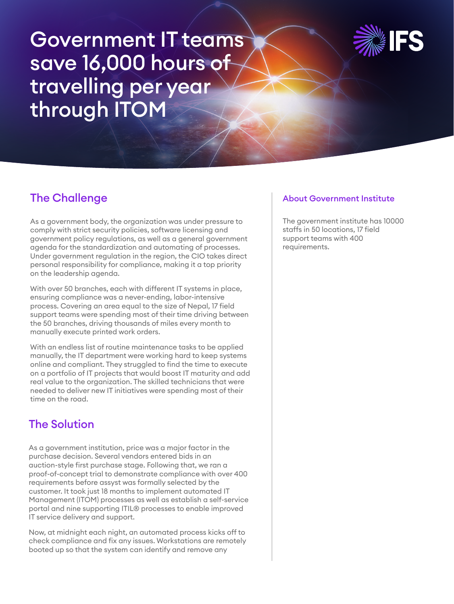# Government IT teams save 16,000 hours of travelling per year through ITOM



# The Challenge

As a government body, the organization was under pressure to comply with strict security policies, software licensing and government policy regulations, as well as a general government agenda for the standardization and automating of processes. Under government regulation in the region, the CIO takes direct personal responsibility for compliance, making it a top priority on the leadership agenda.

With over 50 branches, each with different IT systems in place, ensuring compliance was a never-ending, labor-intensive process. Covering an area equal to the size of Nepal, 17 field support teams were spending most of their time driving between the 50 branches, driving thousands of miles every month to manually execute printed work orders.

With an endless list of routine maintenance tasks to be applied manually, the IT department were working hard to keep systems online and compliant. They struggled to find the time to execute on a portfolio of IT projects that would boost IT maturity and add real value to the organization. The skilled technicians that were needed to deliver new IT initiatives were spending most of their time on the road.

# The Solution

As a government institution, price was a major factor in the purchase decision. Several vendors entered bids in an auction-style first purchase stage. Following that, we ran a proof-of-concept trial to demonstrate compliance with over 400 requirements before assyst was formally selected by the customer. It took just 18 months to implement automated IT Management (ITOM) processes as well as establish a self-service portal and nine supporting ITIL® processes to enable improved IT service delivery and support.

Now, at midnight each night, an automated process kicks off to check compliance and fix any issues. Workstations are remotely booted up so that the system can identify and remove any

#### About Government Institute

The government institute has 10000 staffs in 50 locations, 17 field support teams with 400 requirements.